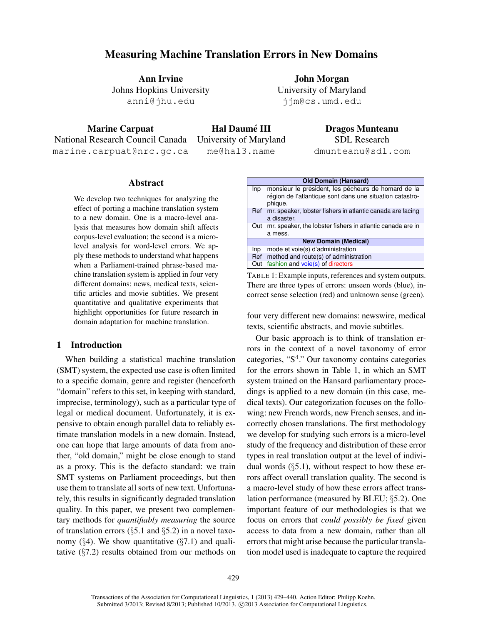# Measuring Machine Translation Errors in New Domains

Ann Irvine Johns Hopkins University anni@jhu.edu

John Morgan University of Maryland jjm@cs.umd.edu

Marine Carpuat National Research Council Canada marine.carpuat@nrc.gc.ca

Hal Daumé III University of Maryland me@hal3.name

Dragos Munteanu SDL Research

dmunteanu@sdl.com

### Abstract

We develop two techniques for analyzing the effect of porting a machine translation system to a new domain. One is a macro-level analysis that measures how domain shift affects corpus-level evaluation; the second is a microlevel analysis for word-level errors. We apply these methods to understand what happens when a Parliament-trained phrase-based machine translation system is applied in four very different domains: news, medical texts, scientific articles and movie subtitles. We present quantitative and qualitative experiments that highlight opportunities for future research in domain adaptation for machine translation.

## 1 Introduction

When building a statistical machine translation (SMT) system, the expected use case is often limited to a specific domain, genre and register (henceforth "domain" refers to this set, in keeping with standard, imprecise, terminology), such as a particular type of legal or medical document. Unfortunately, it is expensive to obtain enough parallel data to reliably estimate translation models in a new domain. Instead, one can hope that large amounts of data from another, "old domain," might be close enough to stand as a proxy. This is the defacto standard: we train SMT systems on Parliament proceedings, but then use them to translate all sorts of new text. Unfortunately, this results in significantly degraded translation quality. In this paper, we present two complementary methods for *quantifiably measuring* the source of translation errors  $(\S5.1 \text{ and } \S5.2)$  in a novel taxonomy  $(\S 4)$ . We show quantitative  $(\S 7.1)$  and qualitative (§7.2) results obtained from our methods on

|     | <b>Old Domain (Hansard)</b>                                                                                                |
|-----|----------------------------------------------------------------------------------------------------------------------------|
| Inp | monsieur le président, les pêcheurs de homard de la<br>région de l'atlantique sont dans une situation catastro-<br>phique. |
| Ref | mr. speaker, lobster fishers in atlantic canada are facing<br>a disaster.                                                  |
| Out | mr. speaker, the lobster fishers in atlantic canada are in                                                                 |
|     | a mess.                                                                                                                    |
|     | <b>New Domain (Medical)</b>                                                                                                |
| Inp | mode et voie(s) d'administration                                                                                           |
| Ref | method and route(s) of administration                                                                                      |
| Out | fashion and voie(s) of directors                                                                                           |

TABLE 1: Example inputs, references and system outputs. There are three types of errors: unseen words (blue), incorrect sense selection (red) and unknown sense (green).

four very different new domains: newswire, medical texts, scientific abstracts, and movie subtitles.

Our basic approach is to think of translation errors in the context of a novel taxonomy of error categories, "S<sup>4</sup>." Our taxonomy contains categories for the errors shown in Table 1, in which an SMT system trained on the Hansard parliamentary procedings is applied to a new domain (in this case, medical texts). Our categorization focuses on the following: new French words, new French senses, and incorrectly chosen translations. The first methodology we develop for studying such errors is a micro-level study of the frequency and distribution of these error types in real translation output at the level of individual words  $(\S5.1)$ , without respect to how these errors affect overall translation quality. The second is a macro-level study of how these errors affect translation performance (measured by BLEU; §5.2). One important feature of our methodologies is that we focus on errors that *could possibly be fixed* given access to data from a new domain, rather than all errors that might arise because the particular translation model used is inadequate to capture the required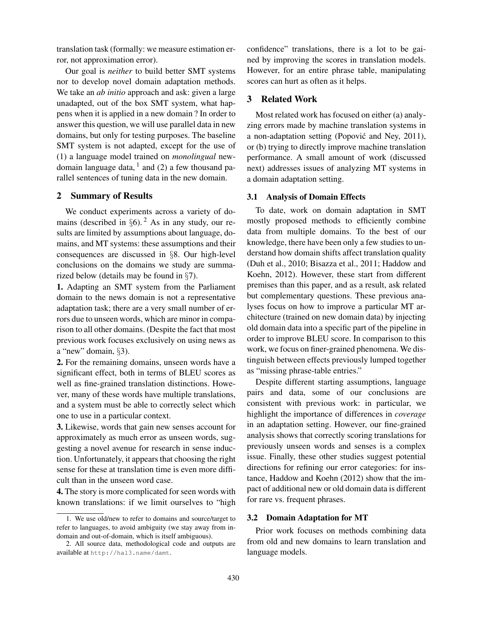translation task (formally: we measure estimation error, not approximation error).

Our goal is *neither* to build better SMT systems nor to develop novel domain adaptation methods. We take an *ab initio* approach and ask: given a large unadapted, out of the box SMT system, what happens when it is applied in a new domain ? In order to answer this question, we will use parallel data in new domains, but only for testing purposes. The baseline SMT system is not adapted, except for the use of (1) a language model trained on *monolingual* newdomain language data,  $<sup>1</sup>$  and (2) a few thousand pa-</sup> rallel sentences of tuning data in the new domain.

### 2 Summary of Results

We conduct experiments across a variety of domains (described in  $\S6$ ). <sup>2</sup> As in any study, our results are limited by assumptions about language, domains, and MT systems: these assumptions and their consequences are discussed in §8. Our high-level conclusions on the domains we study are summarized below (details may be found in §7).

1. Adapting an SMT system from the Parliament domain to the news domain is not a representative adaptation task; there are a very small number of errors due to unseen words, which are minor in comparison to all other domains. (Despite the fact that most previous work focuses exclusively on using news as a "new" domain, §3).

2. For the remaining domains, unseen words have a significant effect, both in terms of BLEU scores as well as fine-grained translation distinctions. However, many of these words have multiple translations, and a system must be able to correctly select which one to use in a particular context.

3. Likewise, words that gain new senses account for approximately as much error as unseen words, suggesting a novel avenue for research in sense induction. Unfortunately, it appears that choosing the right sense for these at translation time is even more difficult than in the unseen word case.

4. The story is more complicated for seen words with known translations: if we limit ourselves to "high confidence" translations, there is a lot to be gained by improving the scores in translation models. However, for an entire phrase table, manipulating scores can hurt as often as it helps.

# 3 Related Work

Most related work has focused on either (a) analyzing errors made by machine translation systems in a non-adaptation setting (Popović and Ney, 2011), or (b) trying to directly improve machine translation performance. A small amount of work (discussed next) addresses issues of analyzing MT systems in a domain adaptation setting.

#### 3.1 Analysis of Domain Effects

To date, work on domain adaptation in SMT mostly proposed methods to efficiently combine data from multiple domains. To the best of our knowledge, there have been only a few studies to understand how domain shifts affect translation quality (Duh et al., 2010; Bisazza et al., 2011; Haddow and Koehn, 2012). However, these start from different premises than this paper, and as a result, ask related but complementary questions. These previous analyses focus on how to improve a particular MT architecture (trained on new domain data) by injecting old domain data into a specific part of the pipeline in order to improve BLEU score. In comparison to this work, we focus on finer-grained phenomena. We distinguish between effects previously lumped together as "missing phrase-table entries."

Despite different starting assumptions, language pairs and data, some of our conclusions are consistent with previous work: in particular, we highlight the importance of differences in *coverage* in an adaptation setting. However, our fine-grained analysis shows that correctly scoring translations for previously unseen words and senses is a complex issue. Finally, these other studies suggest potential directions for refining our error categories: for instance, Haddow and Koehn (2012) show that the impact of additional new or old domain data is different for rare vs. frequent phrases.

### 3.2 Domain Adaptation for MT

Prior work focuses on methods combining data from old and new domains to learn translation and language models.

<sup>1.</sup> We use old/new to refer to domains and source/target to refer to languages, to avoid ambiguity (we stay away from indomain and out-of-domain, which is itself ambiguous).

<sup>2.</sup> All source data, methodological code and outputs are available at http://hal3.name/damt.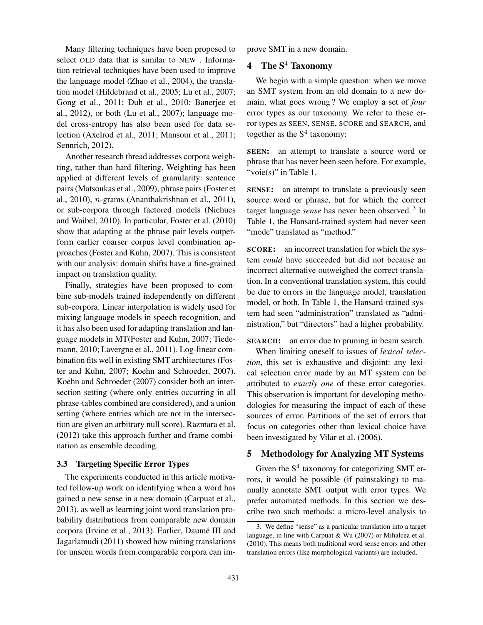Many filtering techniques have been proposed to select OLD data that is similar to NEW . Information retrieval techniques have been used to improve the language model (Zhao et al., 2004), the translation model (Hildebrand et al., 2005; Lu et al., 2007; Gong et al., 2011; Duh et al., 2010; Banerjee et al., 2012), or both (Lu et al., 2007); language model cross-entropy has also been used for data selection (Axelrod et al., 2011; Mansour et al., 2011; Sennrich, 2012).

Another research thread addresses corpora weighting, rather than hard filtering. Weighting has been applied at different levels of granularity: sentence pairs (Matsoukas et al., 2009), phrase pairs (Foster et al., 2010), n-grams (Ananthakrishnan et al., 2011), or sub-corpora through factored models (Niehues and Waibel, 2010). In particular, Foster et al. (2010) show that adapting at the phrase pair levels outperform earlier coarser corpus level combination approaches (Foster and Kuhn, 2007). This is consistent with our analysis: domain shifts have a fine-grained impact on translation quality.

Finally, strategies have been proposed to combine sub-models trained independently on different sub-corpora. Linear interpolation is widely used for mixing language models in speech recognition, and it has also been used for adapting translation and language models in MT(Foster and Kuhn, 2007; Tiedemann, 2010; Lavergne et al., 2011). Log-linear combination fits well in existing SMT architectures (Foster and Kuhn, 2007; Koehn and Schroeder, 2007). Koehn and Schroeder (2007) consider both an intersection setting (where only entries occurring in all phrase-tables combined are considered), and a union setting (where entries which are not in the intersection are given an arbitrary null score). Razmara et al. (2012) take this approach further and frame combination as ensemble decoding.

### 3.3 Targeting Specific Error Types

The experiments conducted in this article motivated follow-up work on identifying when a word has gained a new sense in a new domain (Carpuat et al., 2013), as well as learning joint word translation probability distributions from comparable new domain corpora (Irvine et al., 2013). Earlier, Daumé III and Jagarlamudi (2011) showed how mining translations for unseen words from comparable corpora can improve SMT in a new domain.

# 4 The  $S^4$  Taxonomy

We begin with a simple question: when we move an SMT system from an old domain to a new domain, what goes wrong ? We employ a set of *four* error types as our taxonomy. We refer to these error types as SEEN, SENSE, SCORE and SEARCH, and together as the  $S<sup>4</sup>$  taxonomy:

SEEN: an attempt to translate a source word or phrase that has never been seen before. For example, "voie(s)" in Table 1.

SENSE: an attempt to translate a previously seen source word or phrase, but for which the correct target language *sense* has never been observed.<sup>3</sup> In Table 1, the Hansard-trained system had never seen "mode" translated as "method."

SCORE: an incorrect translation for which the system *could* have succeeded but did not because an incorrect alternative outweighed the correct translation. In a conventional translation system, this could be due to errors in the language model, translation model, or both. In Table 1, the Hansard-trained system had seen "administration" translated as "administration," but "directors" had a higher probability.

SEARCH: an error due to pruning in beam search.

When limiting oneself to issues of *lexical selection*, this set is exhaustive and disjoint: any lexical selection error made by an MT system can be attributed to *exactly one* of these error categories. This observation is important for developing methodologies for measuring the impact of each of these sources of error. Partitions of the set of errors that focus on categories other than lexical choice have been investigated by Vilar et al. (2006).

### 5 Methodology for Analyzing MT Systems

Given the  $S<sup>4</sup>$  taxonomy for categorizing SMT errors, it would be possible (if painstaking) to manually annotate SMT output with error types. We prefer automated methods. In this section we describe two such methods: a micro-level analysis to

<sup>3.</sup> We define "sense" as a particular translation into a target language, in line with Carpuat & Wu (2007) or Mihalcea et al. (2010). This means both traditional word sense errors and other translation errors (like morphological variants) are included.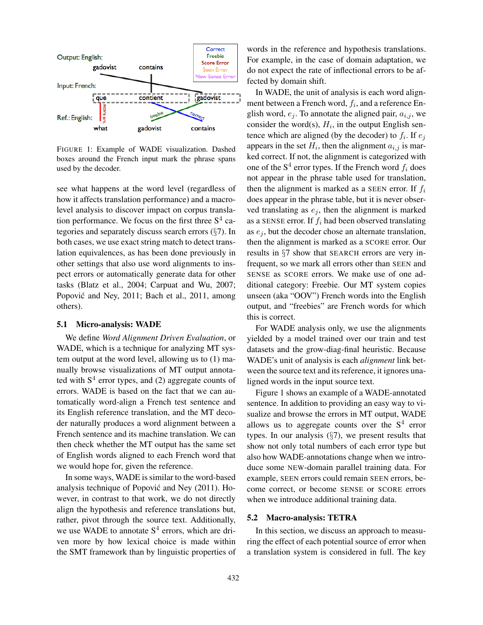

FIGURE 1: Example of WADE visualization. Dashed boxes around the French input mark the phrase spans used by the decoder.

see what happens at the word level (regardless of how it affects translation performance) and a macrolevel analysis to discover impact on corpus translation performance. We focus on the first three  $S<sup>4</sup>$  categories and separately discuss search errors (§7). In both cases, we use exact string match to detect translation equivalences, as has been done previously in other settings that also use word alignments to inspect errors or automatically generate data for other tasks (Blatz et al., 2004; Carpuat and Wu, 2007; Popović and Ney, 2011; Bach et al., 2011, among others).

### 5.1 Micro-analysis: WADE

We define *Word Alignment Driven Evaluation*, or WADE, which is a technique for analyzing MT system output at the word level, allowing us to (1) manually browse visualizations of MT output annotated with  $S<sup>4</sup>$  error types, and (2) aggregate counts of errors. WADE is based on the fact that we can automatically word-align a French test sentence and its English reference translation, and the MT decoder naturally produces a word alignment between a French sentence and its machine translation. We can then check whether the MT output has the same set of English words aligned to each French word that we would hope for, given the reference.

In some ways, WADE is similar to the word-based analysis technique of Popovic and Ney (2011). Ho- ´ wever, in contrast to that work, we do not directly align the hypothesis and reference translations but, rather, pivot through the source text. Additionally, we use WADE to annotate  $S<sup>4</sup>$  errors, which are driven more by how lexical choice is made within the SMT framework than by linguistic properties of words in the reference and hypothesis translations. For example, in the case of domain adaptation, we do not expect the rate of inflectional errors to be affected by domain shift.

In WADE, the unit of analysis is each word alignment between a French word,  $f_i$ , and a reference English word,  $e_i$ . To annotate the aligned pair,  $a_{i,j}$ , we consider the word(s),  $H_i$ , in the output English sentence which are aligned (by the decoder) to  $f_i$ . If  $e_j$ appears in the set  $H_i$ , then the alignment  $a_{i,j}$  is marked correct. If not, the alignment is categorized with one of the  $S^4$  error types. If the French word  $f_i$  does not appear in the phrase table used for translation, then the alignment is marked as a SEEN error. If  $f_i$ does appear in the phrase table, but it is never observed translating as  $e_i$ , then the alignment is marked as a SENSE error. If  $f_i$  had been observed translating as  $e_i$ , but the decoder chose an alternate translation, then the alignment is marked as a SCORE error. Our results in §7 show that SEARCH errors are very infrequent, so we mark all errors other than SEEN and SENSE as SCORE errors. We make use of one additional category: Freebie. Our MT system copies unseen (aka "OOV") French words into the English output, and "freebies" are French words for which this is correct.

For WADE analysis only, we use the alignments yielded by a model trained over our train and test datasets and the grow-diag-final heuristic. Because WADE's unit of analysis is each *alignment* link between the source text and its reference, it ignores unaligned words in the input source text.

Figure 1 shows an example of a WADE-annotated sentence. In addition to providing an easy way to visualize and browse the errors in MT output, WADE allows us to aggregate counts over the  $S<sup>4</sup>$  error types. In our analysis  $(\S7)$ , we present results that show not only total numbers of each error type but also how WADE-annotations change when we introduce some NEW-domain parallel training data. For example, SEEN errors could remain SEEN errors, become correct, or become SENSE or SCORE errors when we introduce additional training data.

#### 5.2 Macro-analysis: TETRA

In this section, we discuss an approach to measuring the effect of each potential source of error when a translation system is considered in full. The key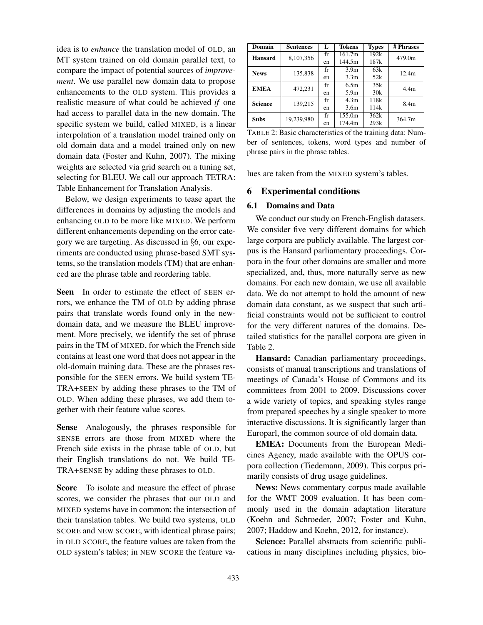idea is to *enhance* the translation model of OLD, an MT system trained on old domain parallel text, to compare the impact of potential sources of *improvement*. We use parallel new domain data to propose enhancements to the OLD system. This provides a realistic measure of what could be achieved *if* one had access to parallel data in the new domain. The specific system we build, called MIXED, is a linear interpolation of a translation model trained only on old domain data and a model trained only on new domain data (Foster and Kuhn, 2007). The mixing weights are selected via grid search on a tuning set, selecting for BLEU. We call our approach TETRA: Table Enhancement for Translation Analysis.

Below, we design experiments to tease apart the differences in domains by adjusting the models and enhancing OLD to be more like MIXED. We perform different enhancements depending on the error category we are targeting. As discussed in §6, our experiments are conducted using phrase-based SMT systems, so the translation models (TM) that are enhanced are the phrase table and reordering table.

Seen In order to estimate the effect of SEEN errors, we enhance the TM of OLD by adding phrase pairs that translate words found only in the newdomain data, and we measure the BLEU improvement. More precisely, we identify the set of phrase pairs in the TM of MIXED, for which the French side contains at least one word that does not appear in the old-domain training data. These are the phrases responsible for the SEEN errors. We build system TE-TRA+SEEN by adding these phrases to the TM of OLD. When adding these phrases, we add them together with their feature value scores.

Sense Analogously, the phrases responsible for SENSE errors are those from MIXED where the French side exists in the phrase table of OLD, but their English translations do not. We build TE-TRA+SENSE by adding these phrases to OLD.

Score To isolate and measure the effect of phrase scores, we consider the phrases that our OLD and MIXED systems have in common: the intersection of their translation tables. We build two systems, OLD SCORE and NEW SCORE, with identical phrase pairs; in OLD SCORE, the feature values are taken from the OLD system's tables; in NEW SCORE the feature va-

| Domain         | <b>Sentences</b> | L  | <b>Tokens</b>    | <b>Types</b> | # Phrases        |  |
|----------------|------------------|----|------------------|--------------|------------------|--|
| <b>Hansard</b> | 8,107,356        | fr | 161.7m           | 192k         | 479.0m           |  |
|                |                  | en | 144.5m           | 187k         |                  |  |
| <b>News</b>    | 135,838          | fr | 3.9 <sub>m</sub> | 63k          | 12.4m            |  |
|                |                  | en | 3.3 <sub>m</sub> | 52k          |                  |  |
| <b>EMEA</b>    | 472,231          | fr | 6.5m             | 35k          | 4.4 <sub>m</sub> |  |
|                |                  | en | 5.9 <sub>m</sub> | 30k          |                  |  |
| <b>Science</b> | 139.215          |    | 4.3 <sub>m</sub> | 118k         | 8.4 <sub>m</sub> |  |
|                |                  | en | 3.6 <sub>m</sub> | 114k         |                  |  |
| <b>Subs</b>    | 19,239,980       | fr | 155.0m           | 362k         | 364.7m           |  |
|                |                  | en | 174.4m           | 293k         |                  |  |

TABLE 2: Basic characteristics of the training data: Number of sentences, tokens, word types and number of phrase pairs in the phrase tables.

lues are taken from the MIXED system's tables.

### 6 Experimental conditions

#### 6.1 Domains and Data

We conduct our study on French-English datasets. We consider five very different domains for which large corpora are publicly available. The largest corpus is the Hansard parliamentary proceedings. Corpora in the four other domains are smaller and more specialized, and, thus, more naturally serve as new domains. For each new domain, we use all available data. We do not attempt to hold the amount of new domain data constant, as we suspect that such artificial constraints would not be sufficient to control for the very different natures of the domains. Detailed statistics for the parallel corpora are given in Table 2.

Hansard: Canadian parliamentary proceedings, consists of manual transcriptions and translations of meetings of Canada's House of Commons and its committees from 2001 to 2009. Discussions cover a wide variety of topics, and speaking styles range from prepared speeches by a single speaker to more interactive discussions. It is significantly larger than Europarl, the common source of old domain data.

EMEA: Documents from the European Medicines Agency, made available with the OPUS corpora collection (Tiedemann, 2009). This corpus primarily consists of drug usage guidelines.

News: News commentary corpus made available for the WMT 2009 evaluation. It has been commonly used in the domain adaptation literature (Koehn and Schroeder, 2007; Foster and Kuhn, 2007; Haddow and Koehn, 2012, for instance).

Science: Parallel abstracts from scientific publications in many disciplines including physics, bio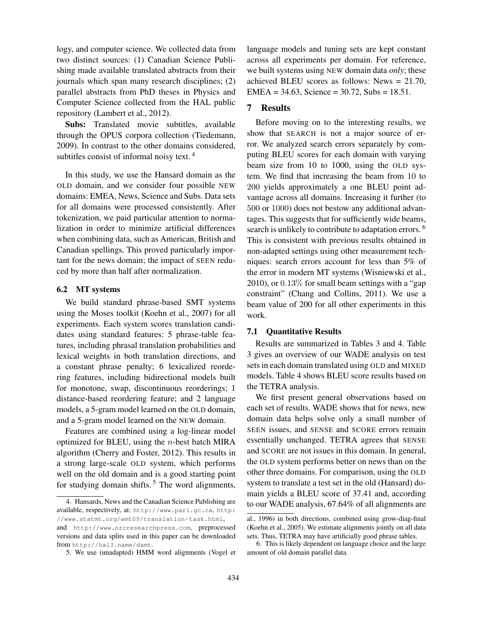logy, and computer science. We collected data from two distinct sources: (1) Canadian Science Publishing made available translated abstracts from their journals which span many research disciplines; (2) parallel abstracts from PhD theses in Physics and Computer Science collected from the HAL public repository (Lambert et al., 2012).

Subs: Translated movie subtitles, available through the OPUS corpora collection (Tiedemann, 2009). In contrast to the other domains considered, subtitles consist of informal noisy text.<sup>4</sup>

In this study, we use the Hansard domain as the OLD domain, and we consider four possible NEW domains: EMEA, News, Science and Subs. Data sets for all domains were processed consistently. After tokenization, we paid particular attention to normalization in order to minimize artificial differences when combining data, such as American, British and Canadian spellings. This proved particularly important for the news domain; the impact of SEEN reduced by more than half after normalization.

#### 6.2 MT systems

We build standard phrase-based SMT systems using the Moses toolkit (Koehn et al., 2007) for all experiments. Each system scores translation candidates using standard features: 5 phrase-table features, including phrasal translation probabilities and lexical weights in both translation directions, and a constant phrase penalty; 6 lexicalized reordering features, including bidirectional models built for monotone, swap, discontinuous reorderings; 1 distance-based reordering feature; and 2 language models, a 5-gram model learned on the OLD domain, and a 5-gram model learned on the NEW domain.

Features are combined using a log-linear model optimized for BLEU, using the  $n$ -best batch MIRA algorithm (Cherry and Foster, 2012). This results in a strong large-scale OLD system, which performs well on the old domain and is a good starting point for studying domain shifts.<sup>5</sup> The word alignments,

language models and tuning sets are kept constant across all experiments per domain. For reference, we built systems using NEW domain data *only*; these achieved BLEU scores as follows: News = 21.70, EMEA =  $34.63$ , Science =  $30.72$ , Subs =  $18.51$ .

# 7 Results

Before moving on to the interesting results, we show that SEARCH is not a major source of error. We analyzed search errors separately by computing BLEU scores for each domain with varying beam size from 10 to 1000, using the OLD system. We find that increasing the beam from 10 to 200 yields approximately a one BLEU point advantage across all domains. Increasing it further (to 500 or 1000) does not bestow any additional advantages. This suggests that for sufficiently wide beams, search is unlikely to contribute to adaptation errors.<sup>6</sup> This is consistent with previous results obtained in non-adapted settings using other measurement techniques: search errors account for less than 5% of the error in modern MT systems (Wisniewski et al., 2010), or  $0.13\%$  for small beam settings with a "gap" constraint" (Chang and Collins, 2011). We use a beam value of 200 for all other experiments in this work.

# 7.1 Quantitative Results

Results are summarized in Tables 3 and 4. Table 3 gives an overview of our WADE analysis on test sets in each domain translated using OLD and MIXED models. Table 4 shows BLEU score results based on the TETRA analysis.

We first present general observations based on each set of results. WADE shows that for news, new domain data helps solve only a small number of SEEN issues, and SENSE and SCORE errors remain essentially unchanged. TETRA agrees that SENSE and SCORE are not issues in this domain. In general, the OLD system performs better on news than on the other three domains. For comparison, using the OLD system to translate a test set in the old (Hansard) domain yields a BLEU score of 37.41 and, according to our WADE analysis, 67.64% of all alignments are

<sup>4.</sup> Hansards, News and the Canadian Science Publishing are available, respectively, at: http://www.parl.gc.ca, http: //www.statmt.org/wmt09/translation-task.html, and http://www.nrcresearchpress.com, preprocessed versions and data splits used in this paper can be downloaded from http://hal3.name/damt.

<sup>5.</sup> We use (unadapted) HMM word alignments (Vogel et

al., 1996) in both directions, combined using grow-diag-final (Koehn et al., 2005). We estimate alignments jointly on all data sets. Thus, TETRA may have artificially good phrase tables.

<sup>6.</sup> This is likely dependent on language choice and the large amount of old domain parallel data.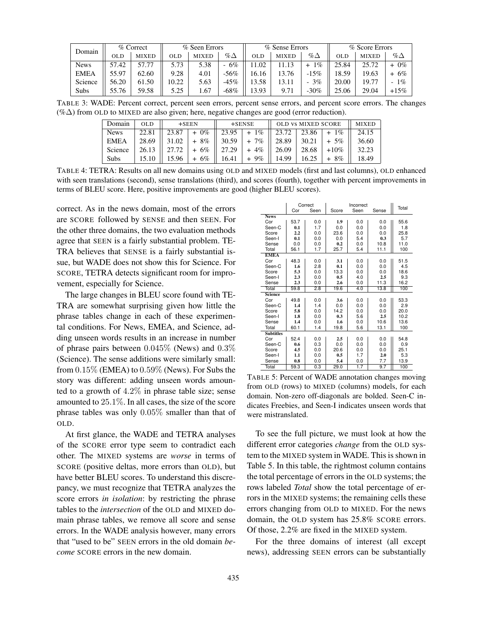| Domain      | $%$ Correct |              |       | % Seen Errors |                                | % Sense Errors |              |                      | % Score Errors |              |            |
|-------------|-------------|--------------|-------|---------------|--------------------------------|----------------|--------------|----------------------|----------------|--------------|------------|
|             | <b>OLD</b>  | <b>MIXED</b> | OL D  | <b>MIXED</b>  | $\% \Delta$                    | OL D           | <b>MIXED</b> | $\% \Delta$          | OLD            | <b>MIXED</b> | % $\Delta$ |
| <b>News</b> | 57.42       | 57.77        | 5.73  | 5.38          | 6%<br>$\overline{\phantom{0}}$ | .02            | 11.13        | $\frac{q}{q}$<br>$+$ | 25.84          | 25.72        | $0\%$      |
| <b>EMEA</b> | 55.97       | 62.60        | 9.28  | 4.01          | $-56%$                         | 16.16          | 13.76        | $-15%$               | 18.59          | 19.63        | 6%<br>$+$  |
| Science     | 56.20       | 61.50        | 10.22 | 5.63          | $-45%$                         | 13.58          | 13.11        | 3%<br>-              | 20.00          | 19.77        | $-1\%$     |
| Subs        | 55.76       | 59.58        | 5.25  | . 67          | -68%                           | 13.93          | 9.71         | $-30%$               | 25.06          | 29.04        | $+15\%$    |

TABLE 3: WADE: Percent correct, percent seen errors, percent sense errors, and percent score errors. The changes (%∆) from OLD to MIXED are also given; here, negative changes are good (error reduction).

| Domain      | <b>OLD</b> | $+$ SEEN |               | $+$ SENSE |               | <b>OLD VS MIXED SCORE</b>     | <b>MIXED</b>  |         |       |
|-------------|------------|----------|---------------|-----------|---------------|-------------------------------|---------------|---------|-------|
| <b>News</b> | 22.81      |          | $23.87 + 0\%$ |           | $23.95 + 1\%$ | $\parallel$ 23.72 $\parallel$ | $23.86 + 1\%$ |         | 24.15 |
| EMEA        | 28.69      | 31.02    | $+8\%$        |           | $30.59$ + 7\% | 28.89                         | 30.21         | $+5\%$  | 36.60 |
| Science     | 26.13      | 27.72    | $+6\%$        | 27.29     | $+4\%$        | 26.09                         | 28.68         | $+10\%$ | 32.23 |
| <b>Subs</b> | 15.10      | 15.96    | $+ 6\%$       | 16.41     | $+9\%$        | 14.99                         | 16.25         | $+8\%$  | 18.49 |

TABLE 4: TETRA: Results on all new domains using OLD and MIXED models (first and last columns), OLD enhanced with seen translations (second), sense translations (third), and scores (fourth), together with percent improvements in terms of BLEU score. Here, positive improvements are good (higher BLEU scores).

correct. As in the news domain, most of the errors are SCORE followed by SENSE and then SEEN. For the other three domains, the two evaluation methods agree that SEEN is a fairly substantial problem. TE-TRA believes that SENSE is a fairly substantial issue, but WADE does not show this for Science. For SCORE, TETRA detects significant room for improvement, especially for Science.

The large changes in BLEU score found with TE-TRA are somewhat surprising given how little the phrase tables change in each of these experimental conditions. For News, EMEA, and Science, adding unseen words results in an increase in number of phrase pairs between 0.045% (News) and 0.3% (Science). The sense additions were similarly small: from  $0.15\%$  (EMEA) to  $0.59\%$  (News). For Subs the story was different: adding unseen words amounted to a growth of 4.2% in phrase table size; sense amounted to 25.1%. In all cases, the size of the score phrase tables was only 0.05% smaller than that of OLD.

At first glance, the WADE and TETRA analyses of the SCORE error type seem to contradict each other. The MIXED systems are *worse* in terms of SCORE (positive deltas, more errors than OLD), but have better BLEU scores. To understand this discrepancy, we must recognize that TETRA analyzes the score errors *in isolation*: by restricting the phrase tables to the *intersection* of the OLD and MIXED domain phrase tables, we remove all score and sense errors. In the WADE analysis however, many errors that "used to be" SEEN errors in the old domain *become* SCORE errors in the new domain.

|                  | Correct |      |       | Incorrect |       |       |  |  |
|------------------|---------|------|-------|-----------|-------|-------|--|--|
|                  | Cor     | Seen | Score | Seen      | Sense | Total |  |  |
| <b>News</b>      |         |      |       |           |       |       |  |  |
| Cor              | 53.7    | 0.0  | 1.9   | 0.0       | 0.0   | 55.6  |  |  |
| Seen-C           | 0.1     | 1.7  | 0.0   | 0.0       | 0.0   | 1.8   |  |  |
| Score            | 2.2     | 0.0  | 23.6  | 0.0       | 0.0   | 25.8  |  |  |
| Seen-I           | 0.1     | 0.0  | 0.0   | 5.4       | 0.3   | 5.7   |  |  |
| Sense            | 0.0     | 0.0  | 0.2   | 0.0       | 10.8  | 11.0  |  |  |
| Total            | 56.1    | 1.7  | 25.7  | 5.4       | 11.1  | 100   |  |  |
| <b>EMEA</b>      |         |      |       |           |       |       |  |  |
| Cor              | 48.3    | 0.0  | 3.1   | 0.0       | 0.0   | 51.5  |  |  |
| Seen-C           | 1.6     | 2.8  | 0.1   | 0.0       | 0.0   | 4.5   |  |  |
| Score            | 5.3     | 0.0  | 13.3  | 0.0       | 0.0   | 18.6  |  |  |
| Seen-I           | 2.3     | 0.0  | 0.5   | 4.0       | 2.5   | 9.3   |  |  |
| Sense            | 2.3     | 0.0  | 2.6   | 0.0       | 11.3  | 16.2  |  |  |
| Total            | 59.8    | 2.8  | 19.6  | 4.0       | 13.8  | 100   |  |  |
| <b>Science</b>   |         |      |       |           |       |       |  |  |
| Cor              | 49.8    | 0.0  | 3.6   | 0.0       | 0.0   | 53.3  |  |  |
| Seen-C           | 1.4     | 1.4  | 0.0   | 0.0       | 0.0   | 2.9   |  |  |
| Score            | 5.8     | 0.0  | 14.2  | 0.0       | 0.0   | 20.0  |  |  |
| Seen-I           | 1.8     | 0.0  | 0.3   | 5.6       | 2.5   | 10.2  |  |  |
| Sense            | 1.4     | 0.0  | 1.6   | 0.0       | 10.6  | 13.6  |  |  |
| Total            | 60.1    | 1.4  | 19.8  | 5.6       | 13.1  | 100   |  |  |
| <b>Subtitles</b> |         |      |       |           |       |       |  |  |
| Cor              | 52.4    | 0.0  | 2.5   | 0.0       | 0.0   | 54.8  |  |  |
| Seen-C           | 0.6     | 0.3  | 0.0   | 0.0       | 0.0   | 0.9   |  |  |
| Score            | 4.5     | 0.0  | 20.6  | 0.0       | 0.0   | 25.1  |  |  |
| Seen-I           | 1.1     | 0.0  | 0.5   | 1.7       | 2.0   | 5.3   |  |  |
| Sense            | 0.8     | 0.0  | 5.4   | 0.0       | 7.7   | 13.9  |  |  |
| Total            | 59.3    | 0.3  | 29.0  | 1.7       | 9.7   | 100   |  |  |

TABLE 5: Percent of WADE annotation changes moving from OLD (rows) to MIXED (columns) models, for each domain. Non-zero off-diagonals are bolded. Seen-C indicates Freebies, and Seen-I indicates unseen words that were mistranslated.

To see the full picture, we must look at how the different error categories *change* from the OLD system to the MIXED system in WADE. This is shown in Table 5. In this table, the rightmost column contains the total percentage of errors in the OLD systems; the rows labeled *Total* show the total percentage of errors in the MIXED systems; the remaining cells these errors changing from OLD to MIXED. For the news domain, the OLD system has 25.8% SCORE errors. Of those, 2.2% are fixed in the MIXED system.

For the three domains of interest (all except news), addressing SEEN errors can be substantially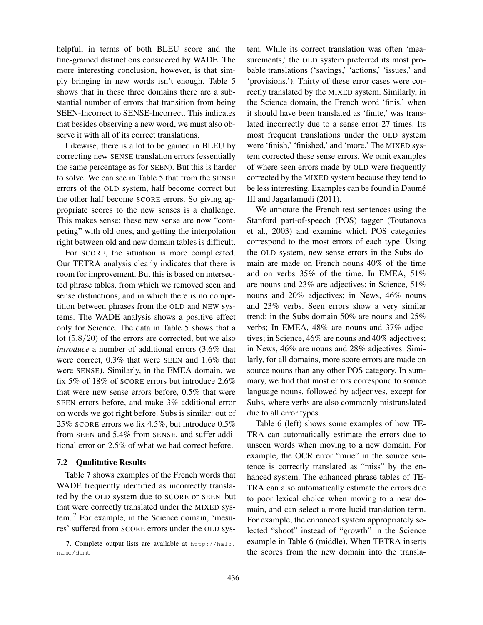helpful, in terms of both BLEU score and the fine-grained distinctions considered by WADE. The more interesting conclusion, however, is that simply bringing in new words isn't enough. Table 5 shows that in these three domains there are a substantial number of errors that transition from being SEEN-Incorrect to SENSE-Incorrect. This indicates that besides observing a new word, we must also observe it with all of its correct translations.

Likewise, there is a lot to be gained in BLEU by correcting new SENSE translation errors (essentially the same percentage as for SEEN). But this is harder to solve. We can see in Table 5 that from the SENSE errors of the OLD system, half become correct but the other half become SCORE errors. So giving appropriate scores to the new senses is a challenge. This makes sense: these new sense are now "competing" with old ones, and getting the interpolation right between old and new domain tables is difficult.

For SCORE, the situation is more complicated. Our TETRA analysis clearly indicates that there is room for improvement. But this is based on intersected phrase tables, from which we removed seen and sense distinctions, and in which there is no competition between phrases from the OLD and NEW systems. The WADE analysis shows a positive effect only for Science. The data in Table 5 shows that a lot (5.8/20) of the errors are corrected, but we also *introduce* a number of additional errors (3.6% that were correct, 0.3% that were SEEN and 1.6% that were SENSE). Similarly, in the EMEA domain, we fix 5% of 18% of SCORE errors but introduce 2.6% that were new sense errors before, 0.5% that were SEEN errors before, and make 3% additional error on words we got right before. Subs is similar: out of 25% SCORE errors we fix 4.5%, but introduce 0.5% from SEEN and 5.4% from SENSE, and suffer additional error on 2.5% of what we had correct before.

#### 7.2 Qualitative Results

Table 7 shows examples of the French words that WADE frequently identified as incorrectly translated by the OLD system due to SCORE or SEEN but that were correctly translated under the MIXED system. <sup>7</sup> For example, in the Science domain, 'mesures' suffered from SCORE errors under the OLD system. While its correct translation was often 'measurements,' the OLD system preferred its most probable translations ('savings,' 'actions,' 'issues,' and 'provisions.'). Thirty of these error cases were correctly translated by the MIXED system. Similarly, in the Science domain, the French word 'finis,' when it should have been translated as 'finite,' was translated incorrectly due to a sense error 27 times. Its most frequent translations under the OLD system were 'finish,' 'finished,' and 'more.' The MIXED system corrected these sense errors. We omit examples of where seen errors made by OLD were frequently corrected by the MIXED system because they tend to be less interesting. Examples can be found in Daumé III and Jagarlamudi (2011).

We annotate the French test sentences using the Stanford part-of-speech (POS) tagger (Toutanova et al., 2003) and examine which POS categories correspond to the most errors of each type. Using the OLD system, new sense errors in the Subs domain are made on French nouns 40% of the time and on verbs 35% of the time. In EMEA, 51% are nouns and 23% are adjectives; in Science, 51% nouns and 20% adjectives; in News, 46% nouns and 23% verbs. Seen errors show a very similar trend: in the Subs domain 50% are nouns and 25% verbs; In EMEA, 48% are nouns and 37% adjectives; in Science, 46% are nouns and 40% adjectives; in News, 46% are nouns and 28% adjectives. Similarly, for all domains, more score errors are made on source nouns than any other POS category. In summary, we find that most errors correspond to source language nouns, followed by adjectives, except for Subs, where verbs are also commonly mistranslated due to all error types.

Table 6 (left) shows some examples of how TE-TRA can automatically estimate the errors due to unseen words when moving to a new domain. For example, the OCR error "miie" in the source sentence is correctly translated as "miss" by the enhanced system. The enhanced phrase tables of TE-TRA can also automatically estimate the errors due to poor lexical choice when moving to a new domain, and can select a more lucid translation term. For example, the enhanced system appropriately selected "shoot" instead of "growth" in the Science example in Table 6 (middle). When TETRA inserts the scores from the new domain into the transla-

<sup>7.</sup> Complete output lists are available at http://hal3. name/damt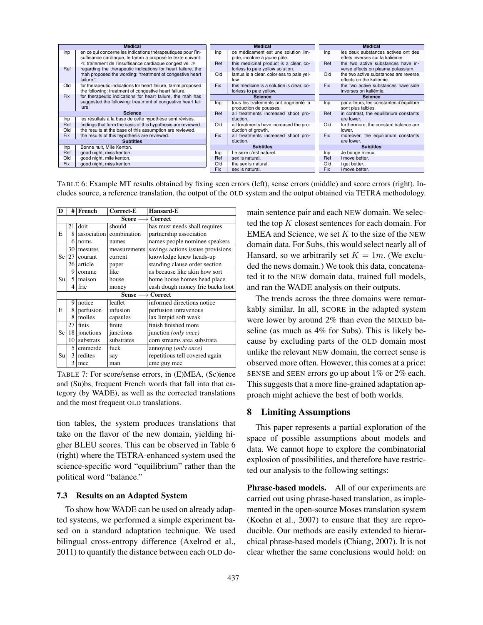| <b>Medical</b>                  |                                                                                                                                |            | <b>Medical</b>                                                             |                |            | <b>Medical</b>                                                           |
|---------------------------------|--------------------------------------------------------------------------------------------------------------------------------|------------|----------------------------------------------------------------------------|----------------|------------|--------------------------------------------------------------------------|
| Inp                             | en ce qui concerne les indications thérapeutiques pour l'in-<br>suffisance cardiaque, le tamm a proposé le texte suivant:      | Inp        | ce médicament est une solution lim-<br>pide, incolore à jaune pâle.        |                | Inp        | les deux substances actives ont des<br>effets inverses sur la kaliémie.  |
| Ref                             | $\ll$ traitement de l'insuffisance cardiaque congestive. $\gg$<br>regarding the therapeutic indications for heart failure, the | Ref        | this medicinal product is a clear, co-<br>lorless to pale yellow solution. |                | Ref        | the two active substances have in-<br>verse effects on plasma potassium. |
|                                 | mah proposed the wording: "treatment of congestive heart<br>failure."                                                          | Old        | lantus is a clear, colorless to pale yel-<br>low.                          |                | <b>Old</b> | the two active substances are reverse<br>effects on the kaliémie.        |
| Old                             | for therapeutic indications for heart failure, tamm proposed<br>the following: treatment of congestive heart failure.          | Fix        | this medicine is a solution is clear, co-<br>lorless to pale yellow.       |                | <b>Fix</b> | the two active substances have side<br>inverses on kaliémie.             |
| Fix                             | for therapeutic indications for heart failure, the mah has                                                                     |            | <b>Science</b>                                                             | <b>Science</b> |            |                                                                          |
|                                 | suggested the following: treatment of congestive heart fai-                                                                    | Inp        | tous les traitements ont augmenté la                                       |                | Inp        | par ailleurs, les constantes d'équilibre                                 |
|                                 | lure.                                                                                                                          |            | production de pousses.                                                     |                |            | sont plus faibles.                                                       |
| <b>Science</b>                  |                                                                                                                                | Ref        | all treatments increased shoot pro-                                        |                | Ref        | in contrast, the equilibrium constants                                   |
| Inp                             | les résultats à la base de cette hypothése sont révisés.                                                                       |            | duction.                                                                   |                |            | are lower.                                                               |
| Ref                             | findings that form the basis of this hypothesis are reviewed.                                                                  | Old        | all treatments have increased the pro-                                     |                | Old        | furthermore, the constant balance are                                    |
| Old                             | the results at the base of this assumption are reviewed.                                                                       |            | duction of growth.                                                         |                |            | lower.                                                                   |
| Fix                             | the results of this hypothesis are reviewed.                                                                                   | Fix        | all treatments increased shoot pro-                                        |                | <b>Fix</b> | moreover, the equilibrium constants                                      |
|                                 | <b>Subtitles</b>                                                                                                               |            | duction.                                                                   |                |            | are lower.                                                               |
| Bonne nuit, MIIe Kenton.<br>Inp |                                                                                                                                |            | <b>Subtitles</b>                                                           |                |            | <b>Subtitles</b>                                                         |
| Ref                             | good night, miss kenton.                                                                                                       | Inp        | Le sexe c'est naturel.                                                     |                | Inp        | Je bouge mieux.                                                          |
| Old                             | good night, mile kenton.                                                                                                       | Ref        | sex is natural.                                                            |                | Ref        | <i>i</i> move better.                                                    |
| <b>Fix</b>                      | good night, miss kenton.                                                                                                       | Old        | the sex is natural.                                                        |                | Old        | i get better.                                                            |
|                                 |                                                                                                                                | <b>Fix</b> | sex is natural.                                                            |                | Fix        | i move better.                                                           |

TABLE 6: Example MT results obtained by fixing seen errors (left), sense errors (middle) and score errors (right). Includes source, a reference translation, the output of the OLD system and the output obtained via TETRA methodology.

| D  | #                                | French      | Correct-E    | Hansard-E                         |  |  |  |  |  |
|----|----------------------------------|-------------|--------------|-----------------------------------|--|--|--|--|--|
|    | $\rightarrow$ Correct<br>Score – |             |              |                                   |  |  |  |  |  |
|    | 21                               | doit        | should       | has must needs shall requires     |  |  |  |  |  |
| E  | 8                                | association | combination  | partnership association           |  |  |  |  |  |
|    | 6                                | noms        | names        | names people nominee speakers     |  |  |  |  |  |
|    | 30                               | mesures     | measurements | savings actions issues provisions |  |  |  |  |  |
| Sc | 27                               | courant     | current      | knowledge knew heads-up           |  |  |  |  |  |
|    | 26                               | article     | paper        | standing clause order section     |  |  |  |  |  |
|    | 9                                | comme       | like         | as because like akin how sort     |  |  |  |  |  |
| Su | $\mathfrak{g}$                   | maison      | house        | home house homes head place       |  |  |  |  |  |
|    | 4                                | fric        | money        | cash dough money fric bucks loot  |  |  |  |  |  |
|    |                                  |             | Sense —      | $\rightarrow$ Correct             |  |  |  |  |  |
|    | 9                                | notice      | leaflet      | informed directions notice        |  |  |  |  |  |
| E  | 8                                | perfusion   | infusion     | perfusion intravenous             |  |  |  |  |  |
|    | 8                                | molles      | capsules     | lax limpid soft weak              |  |  |  |  |  |
|    | 27                               | finis       | finite       | finish finished more              |  |  |  |  |  |
| Sc | 18                               | jonctions   | junctions    | junction <i>(only once)</i>       |  |  |  |  |  |
|    | 10                               | substrats   | substrates   | corn streams area substrata       |  |  |  |  |  |
|    | 5                                | emmerde     | fuck         | annoying <i>(only once)</i>       |  |  |  |  |  |
| Su | $\frac{3}{ }$                    | redites     | say          | repetitious tell covered again    |  |  |  |  |  |
|    | 3                                | mec         | man          | cme guy mec                       |  |  |  |  |  |

TABLE 7: For score/sense errors, in (E)MEA, (Sc)ience and (Su)bs, frequent French words that fall into that category (by WADE), as well as the corrected translations and the most frequent OLD translations.

tion tables, the system produces translations that take on the flavor of the new domain, yielding higher BLEU scores. This can be observed in Table 6 (right) where the TETRA-enhanced system used the science-specific word "equilibrium" rather than the political word "balance."

#### 7.3 Results on an Adapted System

To show how WADE can be used on already adapted systems, we performed a simple experiment based on a standard adaptation technique. We used bilingual cross-entropy difference (Axelrod et al., 2011) to quantify the distance between each OLD domain sentence pair and each NEW domain. We selected the top K closest sentences for each domain. For EMEA and Science, we set  $K$  to the size of the NEW domain data. For Subs, this would select nearly all of Hansard, so we arbitrarily set  $K = 1m$ . (We excluded the news domain.) We took this data, concatenated it to the NEW domain data, trained full models, and ran the WADE analysis on their outputs.

The trends across the three domains were remarkably similar. In all, SCORE in the adapted system were lower by around 2% than even the MIXED baseline (as much as 4% for Subs). This is likely because by excluding parts of the OLD domain most unlike the relevant NEW domain, the correct sense is observed more often. However, this comes at a price: SENSE and SEEN errors go up about 1% or 2% each. This suggests that a more fine-grained adaptation approach might achieve the best of both worlds.

### 8 Limiting Assumptions

This paper represents a partial exploration of the space of possible assumptions about models and data. We cannot hope to explore the combinatorial explosion of possibilities, and therefore have restricted our analysis to the following settings:

Phrase-based models. All of our experiments are carried out using phrase-based translation, as implemented in the open-source Moses translation system (Koehn et al., 2007) to ensure that they are reproducible. Our methods are easily extended to hierarchical phrase-based models (Chiang, 2007). It is not clear whether the same conclusions would hold: on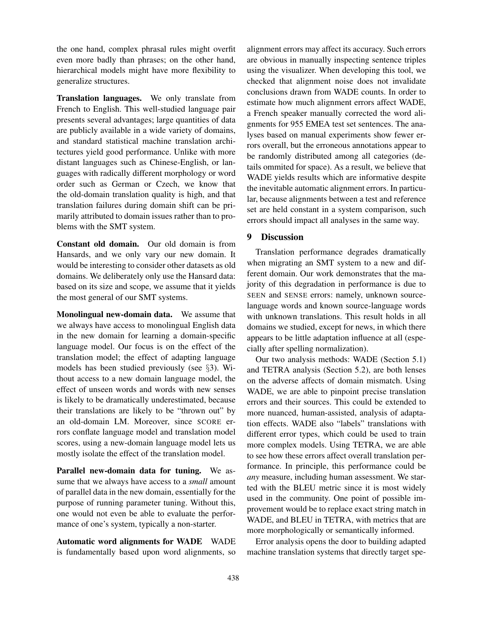the one hand, complex phrasal rules might overfit even more badly than phrases; on the other hand, hierarchical models might have more flexibility to generalize structures.

Translation languages. We only translate from French to English. This well-studied language pair presents several advantages; large quantities of data are publicly available in a wide variety of domains, and standard statistical machine translation architectures yield good performance. Unlike with more distant languages such as Chinese-English, or languages with radically different morphology or word order such as German or Czech, we know that the old-domain translation quality is high, and that translation failures during domain shift can be primarily attributed to domain issues rather than to problems with the SMT system.

Constant old domain. Our old domain is from Hansards, and we only vary our new domain. It would be interesting to consider other datasets as old domains. We deliberately only use the Hansard data: based on its size and scope, we assume that it yields the most general of our SMT systems.

Monolingual new-domain data. We assume that we always have access to monolingual English data in the new domain for learning a domain-specific language model. Our focus is on the effect of the translation model; the effect of adapting language models has been studied previously (see §3). Without access to a new domain language model, the effect of unseen words and words with new senses is likely to be dramatically underestimated, because their translations are likely to be "thrown out" by an old-domain LM. Moreover, since SCORE errors conflate language model and translation model scores, using a new-domain language model lets us mostly isolate the effect of the translation model.

Parallel new-domain data for tuning. We assume that we always have access to a *small* amount of parallel data in the new domain, essentially for the purpose of running parameter tuning. Without this, one would not even be able to evaluate the performance of one's system, typically a non-starter.

Automatic word alignments for WADE WADE is fundamentally based upon word alignments, so alignment errors may affect its accuracy. Such errors are obvious in manually inspecting sentence triples using the visualizer. When developing this tool, we checked that alignment noise does not invalidate conclusions drawn from WADE counts. In order to estimate how much alignment errors affect WADE, a French speaker manually corrected the word alignments for 955 EMEA test set sentences. The analyses based on manual experiments show fewer errors overall, but the erroneous annotations appear to be randomly distributed among all categories (details ommited for space). As a result, we believe that WADE yields results which are informative despite the inevitable automatic alignment errors. In particular, because alignments between a test and reference set are held constant in a system comparison, such errors should impact all analyses in the same way.

### 9 Discussion

Translation performance degrades dramatically when migrating an SMT system to a new and different domain. Our work demonstrates that the majority of this degradation in performance is due to SEEN and SENSE errors: namely, unknown sourcelanguage words and known source-language words with unknown translations. This result holds in all domains we studied, except for news, in which there appears to be little adaptation influence at all (especially after spelling normalization).

Our two analysis methods: WADE (Section 5.1) and TETRA analysis (Section 5.2), are both lenses on the adverse affects of domain mismatch. Using WADE, we are able to pinpoint precise translation errors and their sources. This could be extended to more nuanced, human-assisted, analysis of adaptation effects. WADE also "labels" translations with different error types, which could be used to train more complex models. Using TETRA, we are able to see how these errors affect overall translation performance. In principle, this performance could be *any* measure, including human assessment. We started with the BLEU metric since it is most widely used in the community. One point of possible improvement would be to replace exact string match in WADE, and BLEU in TETRA, with metrics that are more morphologically or semantically informed.

Error analysis opens the door to building adapted machine translation systems that directly target spe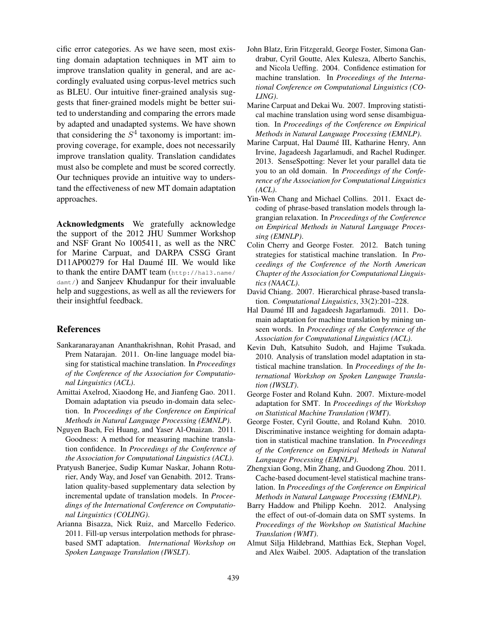cific error categories. As we have seen, most existing domain adaptation techniques in MT aim to improve translation quality in general, and are accordingly evaluated using corpus-level metrics such as BLEU. Our intuitive finer-grained analysis suggests that finer-grained models might be better suited to understanding and comparing the errors made by adapted and unadapted systems. We have shown that considering the  $S<sup>4</sup>$  taxonomy is important: improving coverage, for example, does not necessarily improve translation quality. Translation candidates must also be complete and must be scored correctly. Our techniques provide an intuitive way to understand the effectiveness of new MT domain adaptation approaches.

Acknowledgments We gratefully acknowledge the support of the 2012 JHU Summer Workshop and NSF Grant No 1005411, as well as the NRC for Marine Carpuat, and DARPA CSSG Grant D11AP00279 for Hal Daumé III. We would like to thank the entire DAMT team (http://hal3.name/ damt/) and Sanjeev Khudanpur for their invaluable help and suggestions, as well as all the reviewers for their insightful feedback.

### References

- Sankaranarayanan Ananthakrishnan, Rohit Prasad, and Prem Natarajan. 2011. On-line language model biasing for statistical machine translation. In *Proceedings of the Conference of the Association for Computational Linguistics (ACL)*.
- Amittai Axelrod, Xiaodong He, and Jianfeng Gao. 2011. Domain adaptation via pseudo in-domain data selection. In *Proceedings of the Conference on Empirical Methods in Natural Language Processing (EMNLP)*.
- Nguyen Bach, Fei Huang, and Yaser Al-Onaizan. 2011. Goodness: A method for measuring machine translation confidence. In *Proceedings of the Conference of the Association for Computational Linguistics (ACL)*.
- Pratyush Banerjee, Sudip Kumar Naskar, Johann Roturier, Andy Way, and Josef van Genabith. 2012. Translation quality-based supplementary data selection by incremental update of translation models. In *Proceedings of the International Conference on Computational Linguistics (COLING)*.
- Arianna Bisazza, Nick Ruiz, and Marcello Federico. 2011. Fill-up versus interpolation methods for phrasebased SMT adaptation. *International Workshop on Spoken Language Translation (IWSLT)*.
- John Blatz, Erin Fitzgerald, George Foster, Simona Gandrabur, Cyril Goutte, Alex Kulesza, Alberto Sanchis, and Nicola Ueffing. 2004. Confidence estimation for machine translation. In *Proceedings of the International Conference on Computational Linguistics (CO-LING)*.
- Marine Carpuat and Dekai Wu. 2007. Improving statistical machine translation using word sense disambiguation. In *Proceedings of the Conference on Empirical Methods in Natural Language Processing (EMNLP)*.
- Marine Carpuat, Hal Daumé III, Katharine Henry, Ann Irvine, Jagadeesh Jagarlamudi, and Rachel Rudinger. 2013. SenseSpotting: Never let your parallel data tie you to an old domain. In *Proceedings of the Conference of the Association for Computational Linguistics (ACL)*.
- Yin-Wen Chang and Michael Collins. 2011. Exact decoding of phrase-based translation models through lagrangian relaxation. In *Proceedings of the Conference on Empirical Methods in Natural Language Processing (EMNLP)*.
- Colin Cherry and George Foster. 2012. Batch tuning strategies for statistical machine translation. In *Proceedings of the Conference of the North American Chapter of the Association for Computational Linguistics (NAACL)*.
- David Chiang. 2007. Hierarchical phrase-based translation. *Computational Linguistics*, 33(2):201–228.
- Hal Daumé III and Jagadeesh Jagarlamudi. 2011. Domain adaptation for machine translation by mining unseen words. In *Proceedings of the Conference of the Association for Computational Linguistics (ACL)*.
- Kevin Duh, Katsuhito Sudoh, and Hajime Tsukada. 2010. Analysis of translation model adaptation in statistical machine translation. In *Proceedings of the International Workshop on Spoken Language Translation (IWSLT)*.
- George Foster and Roland Kuhn. 2007. Mixture-model adaptation for SMT. In *Proceedings of the Workshop on Statistical Machine Translation (WMT)*.
- George Foster, Cyril Goutte, and Roland Kuhn. 2010. Discriminative instance weighting for domain adaptation in statistical machine translation. In *Proceedings of the Conference on Empirical Methods in Natural Language Processing (EMNLP)*.
- Zhengxian Gong, Min Zhang, and Guodong Zhou. 2011. Cache-based document-level statistical machine translation. In *Proceedings of the Conference on Empirical Methods in Natural Language Processing (EMNLP)*.
- Barry Haddow and Philipp Koehn. 2012. Analysing the effect of out-of-domain data on SMT systems. In *Proceedings of the Workshop on Statistical Machine Translation (WMT)*.
- Almut Silja Hildebrand, Matthias Eck, Stephan Vogel, and Alex Waibel. 2005. Adaptation of the translation